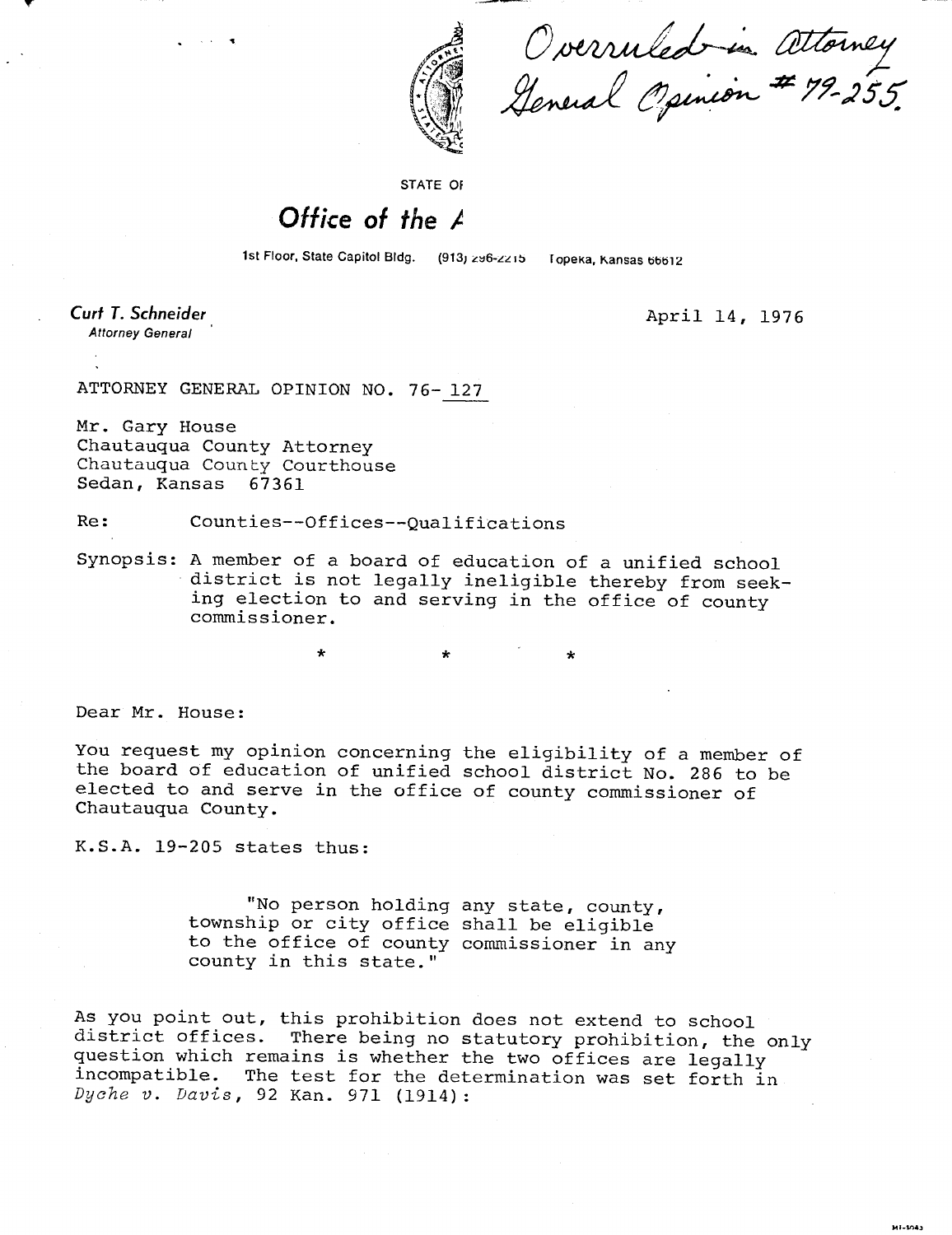

Overruled in Attorney<br>General Opinion # 79-255.

STATE OF

## Office of the  $\angle$

1st Floor, State Capitol Bldg. (913) 296-2215 Topeka, Kansas 66612

Curt T. Schneider **Attorney General** 

April 14, 1976

..<br>Mi-1043

ATTORNEY GENERAL OPINION NO. 76- 127

Mr. Gary House Chautauqua County Attorney Chautauqua County Courthouse Sedan, Kansas 67361

Re: Counties--Offices--Qualifications

Synopsis: A member of a board of education of a unified school district is not legally ineligible thereby from seeking election to and serving in the office of county commissioner.

Dear Mr. House:

You request my opinion concerning the eligibility of a member of the board of education of unified school district No. 286 to be elected to and serve in the office of county commissioner of Chautauqua County.

K.S.A. 19-205 states thus:

"No person holding any state, county, township or city office shall be eligible to the office of county commissioner in any county in this state."

As you point out, this prohibition does not extend to school district offices. There being no statutory prohibition, the only question which remains is whether the two offices are legally incompatible. The test for the determination was set forth in Dyche v. Davis, 92 Kan. 971 (1914):